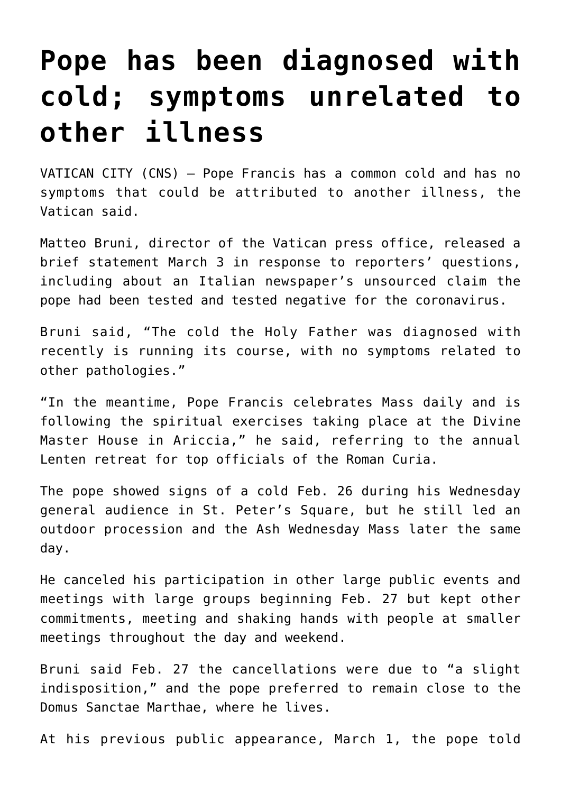## **[Pope has been diagnosed with](https://www.osvnews.com/2020/03/04/pope-has-been-diagnosed-with-cold-symptoms-unrelated-to-other-illness/) [cold; symptoms unrelated to](https://www.osvnews.com/2020/03/04/pope-has-been-diagnosed-with-cold-symptoms-unrelated-to-other-illness/) [other illness](https://www.osvnews.com/2020/03/04/pope-has-been-diagnosed-with-cold-symptoms-unrelated-to-other-illness/)**

VATICAN CITY (CNS) — Pope Francis has a common cold and has no symptoms that could be attributed to another illness, the Vatican said.

Matteo Bruni, director of the Vatican press office, released a brief statement March 3 in response to reporters' questions, including about an Italian newspaper's unsourced claim the pope had been tested and tested negative for the coronavirus.

Bruni said, "The cold the Holy Father was diagnosed with recently is running its course, with no symptoms related to other pathologies."

"In the meantime, Pope Francis celebrates Mass daily and is following the spiritual exercises taking place at the Divine Master House in Ariccia," he said, referring to the annual Lenten retreat for top officials of the Roman Curia.

The pope showed signs of a cold Feb. 26 during his Wednesday general audience in St. Peter's Square, but he still led an outdoor procession and the Ash Wednesday Mass later the same day.

He canceled his participation in other large public events and meetings with large groups beginning Feb. 27 but kept other commitments, meeting and shaking hands with people at smaller meetings throughout the day and weekend.

Bruni said Feb. 27 the cancellations were due to "a slight indisposition," and the pope preferred to remain close to the Domus Sanctae Marthae, where he lives.

At his previous public appearance, March 1, the pope told